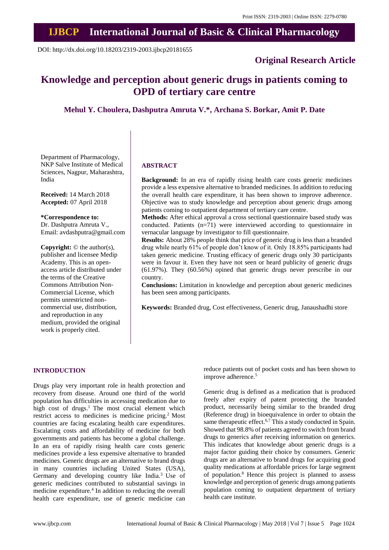# **IJBCP International Journal of Basic & Clinical Pharmacology**

DOI: http://dx.doi.org/10.18203/2319-2003.ijbcp20181655

### **Original Research Article**

## **Knowledge and perception about generic drugs in patients coming to OPD of tertiary care centre**

**Mehul Y. Choulera, Dashputra Amruta V.\*, Archana S. Borkar, Amit P. Date**

Department of Pharmacology, NKP Salve Institute of Medical Sciences, Nagpur, Maharashtra, India

**Received:** 14 March 2018 **Accepted:** 07 April 2018

**\*Correspondence to:** Dr. Dashputra Amruta V., Email: avdashputra@gmail.com

**Copyright:** © the author(s), publisher and licensee Medip Academy. This is an openaccess article distributed under the terms of the Creative Commons Attribution Non-Commercial License, which permits unrestricted noncommercial use, distribution, and reproduction in any medium, provided the original work is properly cited.

#### **ABSTRACT**

**Background:** In an era of rapidly rising health care costs generic medicines provide a less expensive alternative to branded medicines. In addition to reducing the overall health care expenditure, it has been shown to improve adherence. Objective was to study knowledge and perception about generic drugs among patients coming to outpatient department of tertiary care centre.

**Methods:** After ethical approval a cross sectional questionnaire based study was conducted. Patients (n=71) were interviewed according to questionnaire in vernacular language by investigator to fill questionnaire.

**Results:** About 28% people think that price of generic drug is less than a branded drug while nearly 61% of people don't know of it. Only 18.85% participants had taken generic medicine. Trusting efficacy of generic drugs only 30 participants were in favour it. Even they have not seen or heard publicity of generic drugs (61.97%). They (60.56%) opined that generic drugs never prescribe in our country.

**Conclusions:** Limitation in knowledge and perception about generic medicines has been seen among participants.

**Keywords:** Branded drug, Cost effectiveness, Generic drug, Janaushadhi store

#### **INTRODUCTION**

Drugs play very important role in health protection and recovery from disease. Around one third of the world population has difficulties in accessing medication due to high cost of drugs. $<sup>1</sup>$  The most crucial element which</sup> restrict access to medicines is medicine pricing.<sup>2</sup> Most countries are facing escalating health care expenditures. Escalating costs and affordability of medicine for both governments and patients has become a global challenge. In an era of rapidly rising health care costs generic medicines provide a less expensive alternative to branded medicines. Generic drugs are an alternative to brand drugs in many countries including United States (USA), Germany and developing country like India.<sup>3</sup> Use of generic medicines contributed to substantial savings in medicine expenditure.<sup>4</sup> In addition to reducing the overall health care expenditure, use of generic medicine can reduce patients out of pocket costs and has been shown to improve adherence.<sup>5</sup>

Generic drug is defined as a medication that is produced freely after expiry of patent protecting the branded product, necessarily being similar to the branded drug (Reference drug) in bioequivalence in order to obtain the same therapeutic effect.<sup>6,7</sup> This a study conducted in Spain. Showed that 98.8% of patients agreed to switch from brand drugs to generics after receiving information on generics. This indicates that knowledge about generic drugs is a major factor guiding their choice by consumers. Generic drugs are an alternative to brand drugs for acquiring good quality medications at affordable prices for large segment of population.<sup>8</sup> Hence this project is planned to assess knowledge and perception of generic drugs among patients population coming to outpatient department of tertiary health care institute.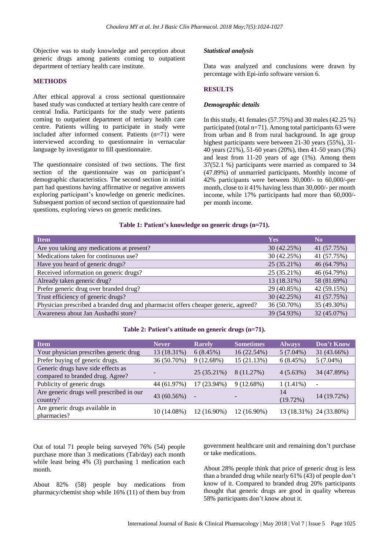Objective was to study knowledge and perception about generic drugs among patients coming to outpatient department of tertiary health care institute.

#### **METHODS**

After ethical approval a cross sectional questionnaire based study was conducted at tertiary health care centre of central India. Participants for the study were patients coming to outpatient department of tertiary health care centre. Patients willing to participate in study were included after informed consent. Patients (n=71) were interviewed according to questionnaire in vernacular language by investigator to fill questionnaire.

The questionnaire consisted of two sections. The first section of the questionnaire was on participant's demographic characteristics. The second section in initial part had questions having affirmative or negative answers exploring participant's knowledge on generic medicines. Subsequent portion of second section of questionnaire had questions, exploring views on generic medicines.

#### *Statistical analysis*

Data was analyzed and conclusions were drawn by percentage with Epi-info software version 6.

#### **RESULTS**

#### *Demographic details*

In this study, 41 females (57.75%) and 30 males (42.25 %) participated (total n=71). Among total participants 63 were from urban and 8 from rural background. In age group highest participants were between 21-30 years (55%), 31- 40 years (21%), 51-60 years (20%), then 41-50 years (3%) and least from 11-20 years of age (1%). Among them 37(52.1 %) participants were married as compared to 34 (47.89%) of unmarried participants. Monthly income of 42% participants were between 30,000/- to 60,000/-per month, close to it 41% having less than 30,000/- per month income, while 17% participants had more than 60,000/ per month income.

#### **Table 1: Patient's knowledge on generic drugs (n=71).**

| <b>Item</b>                                                                        | <b>Yes</b>  | N <sub>0</sub> |
|------------------------------------------------------------------------------------|-------------|----------------|
| Are you taking any medications at present?                                         | 30 (42.25%) | 41 (57.75%)    |
| Medications taken for continuous use?                                              | 30 (42.25%) | 41 (57.75%)    |
| Have you heard of generic drugs?                                                   | 25 (35.21%) | 46 (64.79%)    |
| Received information on generic drugs?                                             | 25 (35.21%) | 46 (64.79%)    |
| Already taken generic drug?                                                        | 13 (18.31%) | 58 (81.69%)    |
| Prefer generic drug over branded drug?                                             | 29 (40.85%) | 42 (59.15%)    |
| Trust efficiency of generic drugs?                                                 | 30 (42.25%) | 41 (57.75%)    |
| Physician prescribed a branded drug and pharmacist offers cheaper generic, agreed? | 36 (50.70%) | 35 (49.30%)    |
| Awareness about Jan Aushadhi store?                                                | 39 (54.93%) | 32 (45.07%)    |

#### **Table 2: Patient's attitude on generic drugs (n=71).**

| <b>Item</b>                                                            | <b>Never</b> | <b>Rarely</b>            | <b>Sometimes</b> | <b>Always</b>  | Don't Know               |
|------------------------------------------------------------------------|--------------|--------------------------|------------------|----------------|--------------------------|
| Your physician prescribes generic drug                                 | 13 (18.31%)  | 6(8.45%)                 | 16 (22.54%)      | $5(7.04\%)$    | 31 (43.66%)              |
| Prefer buying of generic drugs.                                        | 36 (50.70%)  | $9(12.68\%)$             | 15 (21.13%)      | 6(8.45%)       | $5(7.04\%)$              |
| Generic drugs have side effects as<br>compared to branded drug. Agree? |              | 25 (35.21%)              | 8 (11.27%)       | $4(5.63\%)$    | 34 (47.89%)              |
| Publicity of generic drugs                                             | 44 (61.97%)  | 17 (23.94%)              | 9(12.68%)        | $1(1.41\%)$    | $\overline{\phantom{a}}$ |
| Are generic drugs well prescribed in our<br>country?                   | 43 (60.56%)  | $\overline{\phantom{a}}$ |                  | 14<br>(19.72%) | 14 (19.72%)              |
| Are generic drugs available in<br>pharmacies?                          | 10 (14.08%)  | 12 (16.90%)              | 12 (16.90%)      |                | 13 (18.31%) 24 (33.80%)  |

Out of total 71 people being surveyed 76% (54) people purchase more than 3 medications (Tab/day) each month while least being 4% (3) purchasing 1 medication each month.

About 82% (58) people buy medications from pharmacy/chemist shop while 16% (11) of them buy from government healthcare unit and remaining don't purchase or take medications.

About 28% people think that price of generic drug is less than a branded drug while nearly 61% (43) of people don't know of it. Compared to branded drug 20% participants thought that generic drugs are good in quality whereas 58% participants don't know about it.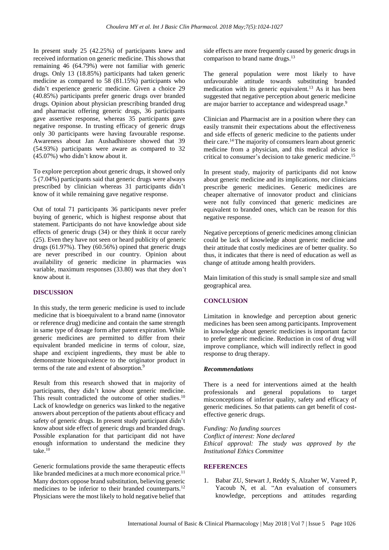In present study 25 (42.25%) of participants knew and received information on generic medicine. This shows that remaining 46 (64.79%) were not familiar with generic drugs. Only 13 (18.85%) participants had taken generic medicine as compared to 58 (81.15%) participants who didn't experience generic medicine. Given a choice 29 (40.85%) participants prefer generic drugs over branded drugs. Opinion about physician prescribing branded drug and pharmacist offering generic drugs, 36 participants gave assertive response, whereas 35 participants gave negative response. In trusting efficacy of generic drugs only 30 participants were having favourable response. Awareness about Jan Aushadhistore showed that 39 (54.93%) participants were aware as compared to 32 (45.07%) who didn't know about it.

To explore perception about generic drugs, it showed only 5 (7.04%) participants said that generic drugs were always prescribed by clinician whereas 31 participants didn't know of it while remaining gave negative response.

Out of total 71 participants 36 participants never prefer buying of generic, which is highest response about that statement. Participants do not have knowledge about side effects of generic drugs (34) or they think it occur rarely (25). Even they have not seen or heard publicity of generic drugs (61.97%). They (60.56%) opined that generic drugs are never prescribed in our country. Opinion about availability of generic medicine in pharmacies was variable, maximum responses (33.80) was that they don't know about it.

#### **DISCUSSION**

In this study, the term generic medicine is used to include medicine that is bioequivalent to a brand name (innovator or reference drug) medicine and contain the same strength in same type of dosage form after patent expiration. While generic medicines are permitted to differ from their equivalent branded medicine in terms of colour, size, shape and excipient ingredients, they must be able to demonstrate bioequivalence to the originator product in terms of the rate and extent of absorption.<sup>9</sup>

Result from this research showed that in majority of participants, they didn't know about generic medicine. This result contradicted the outcome of other studies.<sup>10</sup> Lack of knowledge on generics was linked to the negative answers about perception of the patients about efficacy and safety of generic drugs. In present study participant didn't know about side effect of generic drugs and branded drugs. Possible explanation for that participant did not have enough information to understand the medicine they take. $10$ 

Generic formulations provide the same therapeutic effects like branded medicines at a much more economical price.<sup>11</sup> Many doctors oppose brand substitution, believing generic medicines to be inferior to their branded counterparts.<sup>12</sup> Physicians were the most likely to hold negative belief that side effects are more frequently caused by generic drugs in comparison to brand name drugs.<sup>13</sup>

The general population were most likely to have unfavourable attitude towards substituting branded medication with its generic equivalent.<sup>13</sup> As it has been suggested that negative perception about generic medicine are major barrier to acceptance and widespread usage.<sup>9</sup>

Clinician and Pharmacist are in a position where they can easily transmit their expectations about the effectiveness and side effects of generic medicine to the patients under their care.<sup>14</sup>The majority of consumers learn about generic medicine from a physician, and this medical advice is critical to consumer's decision to take generic medicine.<sup>15</sup>

In present study, majority of participants did not know about generic medicine and its implications, nor clinicians prescribe generic medicines. Generic medicines are cheaper alternative of innovator product and clinicians were not fully convinced that generic medicines are equivalent to branded ones, which can be reason for this negative response.

Negative perceptions of generic medicines among clinician could be lack of knowledge about generic medicine and their attitude that costly medicines are of better quality. So thus, it indicates that there is need of education as well as change of attitude among health providers.

Main limitation of this study is small sample size and small geographical area.

#### **CONCLUSION**

Limitation in knowledge and perception about generic medicines has been seen among participants. Improvement in knowledge about generic medicines is important factor to prefer generic medicine. Reduction in cost of drug will improve compliance, which will indirectly reflect in good response to drug therapy.

#### *Recommendations*

There is a need for interventions aimed at the health professionals and general populations to target misconceptions of inferior quality, safety and efficacy of generic medicines. So that patients can get benefit of costeffective generic drugs.

*Funding: No funding sources Conflict of interest: None declared Ethical approval: The study was approved by the Institutional Ethics Committee*

#### **REFERENCES**

1. Babar ZU, Stewart J, Reddy S, Alzaher W, Vareed P, Yacoub N, et al. "An evaluation of consumers knowledge, perceptions and attitudes regarding